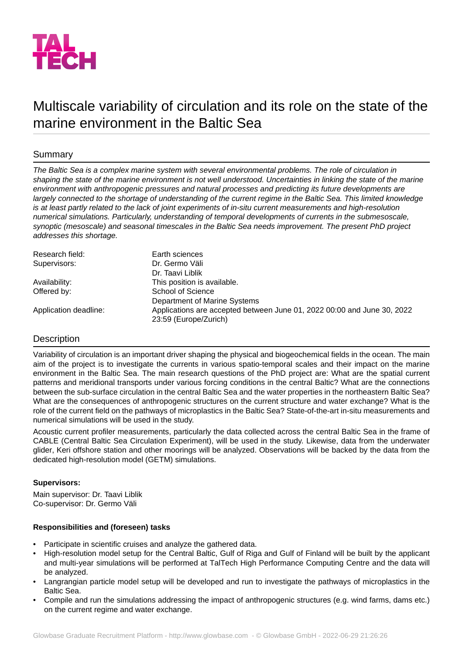

# Multiscale variability of circulation and its role on the state of the marine environment in the Baltic Sea

## Summary

*The Baltic Sea is a complex marine system with several environmental problems. The role of circulation in shaping the state of the marine environment is not well understood. Uncertainties in linking the state of the marine environment with anthropogenic pressures and natural processes and predicting its future developments are largely connected to the shortage of understanding of the current regime in the Baltic Sea. This limited knowledge is at least partly related to the lack of joint experiments of in-situ current measurements and high-resolution numerical simulations. Particularly, understanding of temporal developments of currents in the submesoscale, synoptic (mesoscale) and seasonal timescales in the Baltic Sea needs improvement. The present PhD project addresses this shortage.*

| Research field:       | Earth sciences                                                                                   |
|-----------------------|--------------------------------------------------------------------------------------------------|
| Supervisors:          | Dr. Germo Väli                                                                                   |
|                       | Dr. Taavi Liblik                                                                                 |
| Availability:         | This position is available.                                                                      |
| Offered by:           | School of Science                                                                                |
|                       | Department of Marine Systems                                                                     |
| Application deadline: | Applications are accepted between June 01, 2022 00:00 and June 30, 2022<br>23:59 (Europe/Zurich) |

## **Description**

Variability of circulation is an important driver shaping the physical and biogeochemical fields in the ocean. The main aim of the project is to investigate the currents in various spatio-temporal scales and their impact on the marine environment in the Baltic Sea. The main research questions of the PhD project are: What are the spatial current patterns and meridional transports under various forcing conditions in the central Baltic? What are the connections between the sub-surface circulation in the central Baltic Sea and the water properties in the northeastern Baltic Sea? What are the consequences of anthropogenic structures on the current structure and water exchange? What is the role of the current field on the pathways of microplastics in the Baltic Sea? State-of-the-art in-situ measurements and numerical simulations will be used in the study.

Acoustic current profiler measurements, particularly the data collected across the central Baltic Sea in the frame of CABLE (Central Baltic Sea Circulation Experiment), will be used in the study. Likewise, data from the underwater glider, Keri offshore station and other moorings will be analyzed. Observations will be backed by the data from the dedicated high-resolution model (GETM) simulations.

## **Supervisors:**

Main supervisor: Dr. Taavi Liblik Co-supervisor: Dr. Germo Väli

## **Responsibilities and (foreseen) tasks**

- Participate in scientific cruises and analyze the gathered data.
- High-resolution model setup for the Central Baltic, Gulf of Riga and Gulf of Finland will be built by the applicant and multi-year simulations will be performed at TalTech High Performance Computing Centre and the data will be analyzed.
- Langrangian particle model setup will be developed and run to investigate the pathways of microplastics in the Baltic Sea.
- Compile and run the simulations addressing the impact of anthropogenic structures (e.g. wind farms, dams etc.) on the current regime and water exchange.